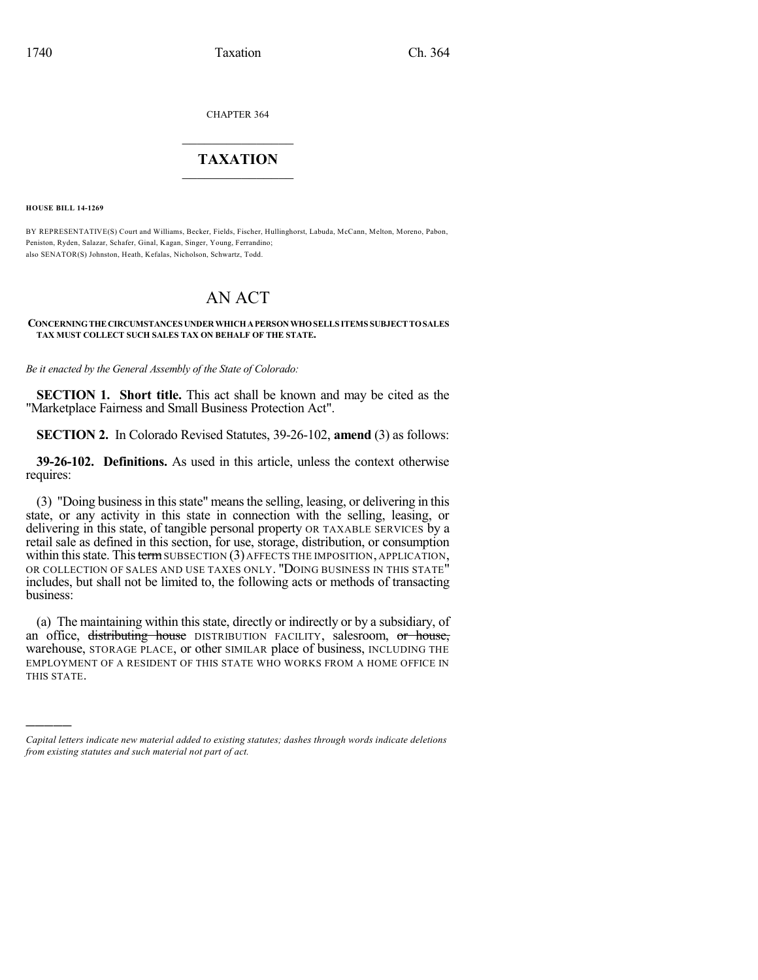CHAPTER 364

## $\overline{\phantom{a}}$  . The set of the set of the set of the set of the set of the set of the set of the set of the set of the set of the set of the set of the set of the set of the set of the set of the set of the set of the set o **TAXATION**  $\_$

**HOUSE BILL 14-1269**

)))))

BY REPRESENTATIVE(S) Court and Williams, Becker, Fields, Fischer, Hullinghorst, Labuda, McCann, Melton, Moreno, Pabon, Peniston, Ryden, Salazar, Schafer, Ginal, Kagan, Singer, Young, Ferrandino; also SENATOR(S) Johnston, Heath, Kefalas, Nicholson, Schwartz, Todd.

# AN ACT

#### **CONCERNINGTHECIRCUMSTANCES UNDERWHICHAPERSONWHOSELLS ITEMS SUBJECTTOSALES TAX MUST COLLECT SUCH SALES TAX ON BEHALF OF THE STATE.**

*Be it enacted by the General Assembly of the State of Colorado:*

**SECTION 1. Short title.** This act shall be known and may be cited as the "Marketplace Fairness and Small Business Protection Act".

**SECTION 2.** In Colorado Revised Statutes, 39-26-102, **amend** (3) as follows:

**39-26-102. Definitions.** As used in this article, unless the context otherwise requires:

(3) "Doing businessin thisstate" meansthe selling, leasing, or delivering in this state, or any activity in this state in connection with the selling, leasing, or delivering in this state, of tangible personal property OR TAXABLE SERVICES by a retail sale as defined in this section, for use, storage, distribution, or consumption within this state. This term SUBSECTION  $(3)$  AFFECTS THE IMPOSITION, APPLICATION, OR COLLECTION OF SALES AND USE TAXES ONLY. "DOING BUSINESS IN THIS STATE" includes, but shall not be limited to, the following acts or methods of transacting business:

(a) The maintaining within this state, directly or indirectly or by a subsidiary, of an office, distributing house DISTRIBUTION FACILITY, salesroom, or house, warehouse, STORAGE PLACE, or other SIMILAR place of business, INCLUDING THE EMPLOYMENT OF A RESIDENT OF THIS STATE WHO WORKS FROM A HOME OFFICE IN THIS STATE.

*Capital letters indicate new material added to existing statutes; dashes through words indicate deletions from existing statutes and such material not part of act.*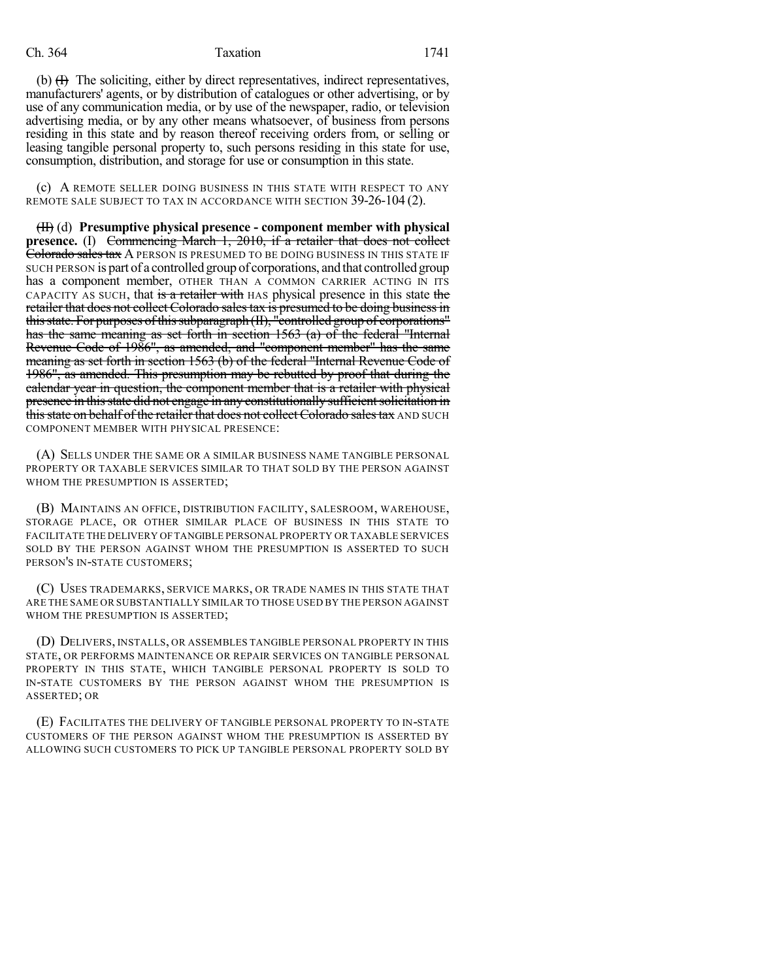### Ch. 364 Taxation 1741

(b)  $(H)$  The soliciting, either by direct representatives, indirect representatives, manufacturers' agents, or by distribution of catalogues or other advertising, or by use of any communication media, or by use of the newspaper, radio, or television advertising media, or by any other means whatsoever, of business from persons residing in this state and by reason thereof receiving orders from, or selling or leasing tangible personal property to, such persons residing in this state for use, consumption, distribution, and storage for use or consumption in this state.

(c) A REMOTE SELLER DOING BUSINESS IN THIS STATE WITH RESPECT TO ANY REMOTE SALE SUBJECT TO TAX IN ACCORDANCE WITH SECTION 39-26-104 (2).

(II) (d) **Presumptive physical presence - component member with physical presence.** (I) Commencing March 1, 2010, if a retailer that does not collect Colorado sales tax A person is presumed to be doing business in this state if SUCH PERSON is part of a controlled group of corporations, and that controlled group has a component member, OTHER THAN A COMMON CARRIER ACTING IN ITS CAPACITY AS SUCH, that is a retailer with HAS physical presence in this state the retailer that does not collect Colorado sales tax is presumed to be doing business in this state. For purposes of this subparagraph (II), "controlled group of corporations" has the same meaning as set forth in section 1563 (a) of the federal "Internal Revenue Code of 1986", as amended, and "component member" has the same meaning as set forth in section 1563 (b) of the federal "Internal Revenue Code of 1986", as amended. This presumption may be rebutted by proof that during the calendar year in question, the component member that is a retailer with physical presence in this state did not engage in any constitutionally sufficient solicitation in this state on behalf of the retailer that does not collect Colorado sales tax AND SUCH COMPONENT MEMBER WITH PHYSICAL PRESENCE:

(A) SELLS UNDER THE SAME OR A SIMILAR BUSINESS NAME TANGIBLE PERSONAL PROPERTY OR TAXABLE SERVICES SIMILAR TO THAT SOLD BY THE PERSON AGAINST WHOM THE PRESUMPTION IS ASSERTED;

(B) MAINTAINS AN OFFICE, DISTRIBUTION FACILITY, SALESROOM, WAREHOUSE, STORAGE PLACE, OR OTHER SIMILAR PLACE OF BUSINESS IN THIS STATE TO FACILITATE THE DELIVERY OFTANGIBLE PERSONAL PROPERTY OR TAXABLE SERVICES SOLD BY THE PERSON AGAINST WHOM THE PRESUMPTION IS ASSERTED TO SUCH PERSON'S IN-STATE CUSTOMERS;

(C) USES TRADEMARKS, SERVICE MARKS, OR TRADE NAMES IN THIS STATE THAT ARE THE SAME OR SUBSTANTIALLY SIMILAR TO THOSE USED BY THE PERSON AGAINST WHOM THE PRESUMPTION IS ASSERTED:

(D) DELIVERS, INSTALLS, OR ASSEMBLES TANGIBLE PERSONAL PROPERTY IN THIS STATE, OR PERFORMS MAINTENANCE OR REPAIR SERVICES ON TANGIBLE PERSONAL PROPERTY IN THIS STATE, WHICH TANGIBLE PERSONAL PROPERTY IS SOLD TO IN-STATE CUSTOMERS BY THE PERSON AGAINST WHOM THE PRESUMPTION IS ASSERTED; OR

(E) FACILITATES THE DELIVERY OF TANGIBLE PERSONAL PROPERTY TO IN-STATE CUSTOMERS OF THE PERSON AGAINST WHOM THE PRESUMPTION IS ASSERTED BY ALLOWING SUCH CUSTOMERS TO PICK UP TANGIBLE PERSONAL PROPERTY SOLD BY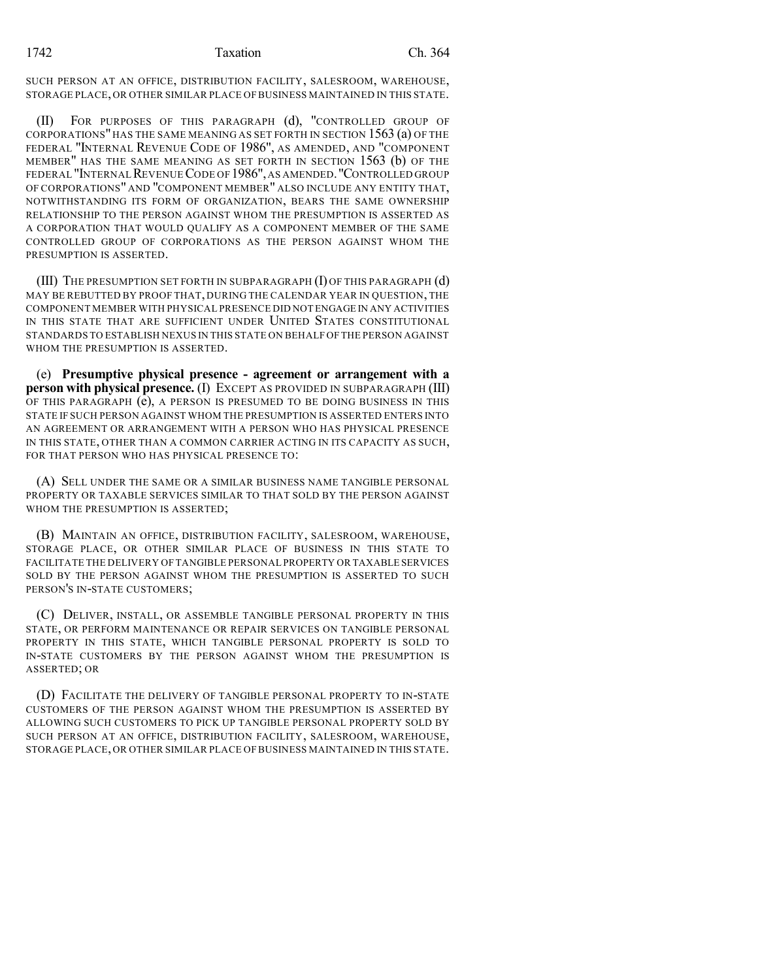SUCH PERSON AT AN OFFICE, DISTRIBUTION FACILITY, SALESROOM, WAREHOUSE, STORAGE PLACE, OR OTHER SIMILAR PLACE OF BUSINESS MAINTAINED IN THIS STATE.

(II) FOR PURPOSES OF THIS PARAGRAPH (d), "CONTROLLED GROUP OF CORPORATIONS"HAS THE SAME MEANING AS SET FORTH IN SECTION 1563 (a) OF THE FEDERAL "INTERNAL REVENUE CODE OF 1986", AS AMENDED, AND "COMPONENT MEMBER" HAS THE SAME MEANING AS SET FORTH IN SECTION 1563 (b) OF THE FEDERAL "INTERNAL REVENUE CODE OF 1986", AS AMENDED. "CONTROLLED GROUP OF CORPORATIONS" AND "COMPONENT MEMBER" ALSO INCLUDE ANY ENTITY THAT, NOTWITHSTANDING ITS FORM OF ORGANIZATION, BEARS THE SAME OWNERSHIP RELATIONSHIP TO THE PERSON AGAINST WHOM THE PRESUMPTION IS ASSERTED AS A CORPORATION THAT WOULD QUALIFY AS A COMPONENT MEMBER OF THE SAME CONTROLLED GROUP OF CORPORATIONS AS THE PERSON AGAINST WHOM THE PRESUMPTION IS ASSERTED.

(III) THE PRESUMPTION SET FORTH IN SUBPARAGRAPH (I) OF THIS PARAGRAPH (d) MAY BE REBUTTED BY PROOF THAT, DURING THE CALENDAR YEAR IN QUESTION, THE COMPONENT MEMBER WITH PHYSICAL PRESENCE DID NOT ENGAGE IN ANY ACTIVITIES IN THIS STATE THAT ARE SUFFICIENT UNDER UNITED STATES CONSTITUTIONAL STANDARDS TO ESTABLISH NEXUS IN THIS STATE ON BEHALF OF THE PERSON AGAINST WHOM THE PRESUMPTION IS ASSERTED.

(e) **Presumptive physical presence - agreement or arrangement with a person with physical presence.** (I) EXCEPT AS PROVIDED IN SUBPARAGRAPH (III) OF THIS PARAGRAPH (e), A PERSON IS PRESUMED TO BE DOING BUSINESS IN THIS STATE IF SUCH PERSON AGAINST WHOM THE PRESUMPTION IS ASSERTED ENTERS INTO AN AGREEMENT OR ARRANGEMENT WITH A PERSON WHO HAS PHYSICAL PRESENCE IN THIS STATE, OTHER THAN A COMMON CARRIER ACTING IN ITS CAPACITY AS SUCH, FOR THAT PERSON WHO HAS PHYSICAL PRESENCE TO:

(A) SELL UNDER THE SAME OR A SIMILAR BUSINESS NAME TANGIBLE PERSONAL PROPERTY OR TAXABLE SERVICES SIMILAR TO THAT SOLD BY THE PERSON AGAINST WHOM THE PRESUMPTION IS ASSERTED;

(B) MAINTAIN AN OFFICE, DISTRIBUTION FACILITY, SALESROOM, WAREHOUSE, STORAGE PLACE, OR OTHER SIMILAR PLACE OF BUSINESS IN THIS STATE TO FACILITATE THE DELIVERY OF TANGIBLE PERSONAL PROPERTY OR TAXABLE SERVICES SOLD BY THE PERSON AGAINST WHOM THE PRESUMPTION IS ASSERTED TO SUCH PERSON'S IN-STATE CUSTOMERS;

(C) DELIVER, INSTALL, OR ASSEMBLE TANGIBLE PERSONAL PROPERTY IN THIS STATE, OR PERFORM MAINTENANCE OR REPAIR SERVICES ON TANGIBLE PERSONAL PROPERTY IN THIS STATE, WHICH TANGIBLE PERSONAL PROPERTY IS SOLD TO IN-STATE CUSTOMERS BY THE PERSON AGAINST WHOM THE PRESUMPTION IS ASSERTED; OR

(D) FACILITATE THE DELIVERY OF TANGIBLE PERSONAL PROPERTY TO IN-STATE CUSTOMERS OF THE PERSON AGAINST WHOM THE PRESUMPTION IS ASSERTED BY ALLOWING SUCH CUSTOMERS TO PICK UP TANGIBLE PERSONAL PROPERTY SOLD BY SUCH PERSON AT AN OFFICE, DISTRIBUTION FACILITY, SALESROOM, WAREHOUSE, STORAGE PLACE, OR OTHER SIMILAR PLACE OF BUSINESS MAINTAINED IN THIS STATE.